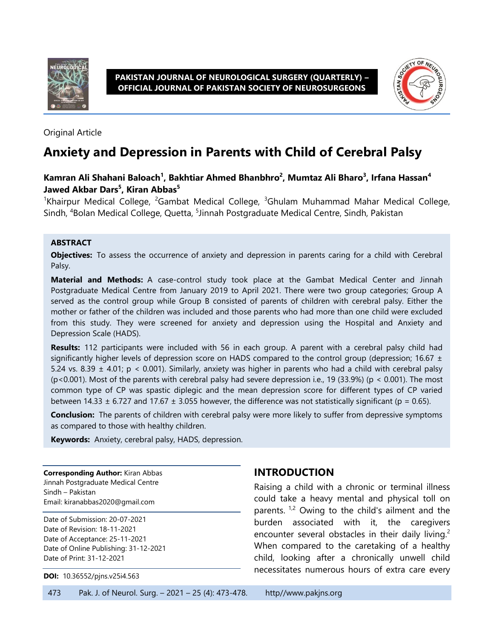



Original Article

# **Anxiety and Depression in Parents with Child of Cerebral Palsy**

#### **Kamran Ali Shahani Baloach<sup>1</sup> , Bakhtiar Ahmed Bhanbhro 2 , Mumtaz Ali Bharo<sup>3</sup> , Irfana Hassan<sup>4</sup> Jawed Akbar Dars<sup>5</sup> , Kiran Abbas<sup>5</sup>**

<sup>1</sup>Khairpur Medical College, <sup>2</sup>Gambat Medical College, <sup>3</sup>Ghulam Muhammad Mahar Medical College, Sindh, <sup>4</sup>Bolan Medical College, Quetta, <sup>5</sup>Jinnah Postgraduate Medical Centre, Sindh, Pakistan

#### **ABSTRACT**

**Objectives:** To assess the occurrence of anxiety and depression in parents caring for a child with Cerebral Palsy.

**Material and Methods:** A case-control study took place at the Gambat Medical Center and Jinnah Postgraduate Medical Centre from January 2019 to April 2021. There were two group categories; Group A served as the control group while Group B consisted of parents of children with cerebral palsy. Either the mother or father of the children was included and those parents who had more than one child were excluded from this study. They were screened for anxiety and depression using the Hospital and Anxiety and Depression Scale (HADS).

**Results:** 112 participants were included with 56 in each group. A parent with a cerebral palsy child had significantly higher levels of depression score on HADS compared to the control group (depression; 16.67  $\pm$ 5.24 vs. 8.39  $\pm$  4.01; p < 0.001). Similarly, anxiety was higher in parents who had a child with cerebral palsy (p<0.001). Most of the parents with cerebral palsy had severe depression i.e., 19 (33.9%) (p < 0.001). The most common type of CP was spastic diplegic and the mean depression score for different types of CP varied between 14.33  $\pm$  6.727 and 17.67  $\pm$  3.055 however, the difference was not statistically significant (p = 0.65).

**Conclusion:** The parents of children with cerebral palsy were more likely to suffer from depressive symptoms as compared to those with healthy children.

**Keywords:** Anxiety, cerebral palsy, HADS, depression.

**Corresponding Author:** Kiran Abbas Jinnah Postgraduate Medical Centre Sindh – Pakistan Email[: kiranabbas2020@gmail.com](mailto:kiranabbas2020@gmail.com)

Date of Submission: 20-07-2021 Date of Revision: 18-11-2021 Date of Acceptance: 25-11-2021 Date of Online Publishing: 31-12-2021 Date of Print: 31-12-2021

**DOI:** 10.36552/pjns.v25i4.563

### **INTRODUCTION**

Raising a child with a chronic or terminal illness could take a heavy mental and physical toll on parents.  $1,2$  Owing to the child's ailment and the burden associated with it, the caregivers encounter several obstacles in their daily living.<sup>2</sup> When compared to the caretaking of a healthy child, looking after a chronically unwell child necessitates numerous hours of extra care every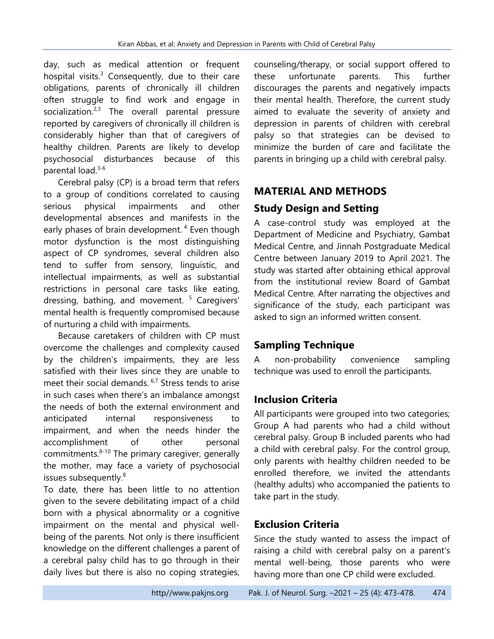day, such as medical attention or frequent hospital visits. $3$  Consequently, due to their care obligations, parents of chronically ill children often struggle to find work and engage in socialization. $2,3$  The overall parental pressure reported by caregivers of chronically ill children is considerably higher than that of caregivers of healthy children. Parents are likely to develop psychosocial disturbances because of this parental load.<sup>3-6</sup>

Cerebral palsy (CP) is a broad term that refers to a group of conditions correlated to causing serious physical impairments and other developmental absences and manifests in the early phases of brain development.<sup>4</sup> Even though motor dysfunction is the most distinguishing aspect of CP syndromes, several children also tend to suffer from sensory, linguistic, and intellectual impairments, as well as substantial restrictions in personal care tasks like eating, dressing, bathing, and movement.<sup>5</sup> Caregivers' mental health is frequently compromised because of nurturing a child with impairments.

Because caretakers of children with CP must overcome the challenges and complexity caused by the children's impairments, they are less satisfied with their lives since they are unable to meet their social demands. 6,7 Stress tends to arise in such cases when there's an imbalance amongst the needs of both the external environment and anticipated internal responsiveness to impairment, and when the needs hinder the accomplishment of other personal commitments. $8-10$  The primary caregiver, generally the mother, may face a variety of psychosocial issues subsequently.<sup>8</sup>

To date, there has been little to no attention given to the severe debilitating impact of a child born with a physical abnormality or a cognitive impairment on the mental and physical wellbeing of the parents. Not only is there insufficient knowledge on the different challenges a parent of a cerebral palsy child has to go through in their daily lives but there is also no coping strategies, counseling/therapy, or social support offered to these unfortunate parents. This further discourages the parents and negatively impacts their mental health. Therefore, the current study aimed to evaluate the severity of anxiety and depression in parents of children with cerebral palsy so that strategies can be devised to minimize the burden of care and facilitate the parents in bringing up a child with cerebral palsy.

### **MATERIAL AND METHODS**

### **Study Design and Setting**

A case-control study was employed at the Department of Medicine and Psychiatry, Gambat Medical Centre, and Jinnah Postgraduate Medical Centre between January 2019 to April 2021. The study was started after obtaining ethical approval from the institutional review Board of Gambat Medical Centre. After narrating the objectives and significance of the study, each participant was asked to sign an informed written consent.

### **Sampling Technique**

A non-probability convenience sampling technique was used to enroll the participants.

# **Inclusion Criteria**

All participants were grouped into two categories; Group A had parents who had a child without cerebral palsy. Group B included parents who had a child with cerebral palsy. For the control group, only parents with healthy children needed to be enrolled therefore, we invited the attendants (healthy adults) who accompanied the patients to take part in the study.

# **Exclusion Criteria**

Since the study wanted to assess the impact of raising a child with cerebral palsy on a parent's mental well-being, those parents who were having more than one CP child were excluded.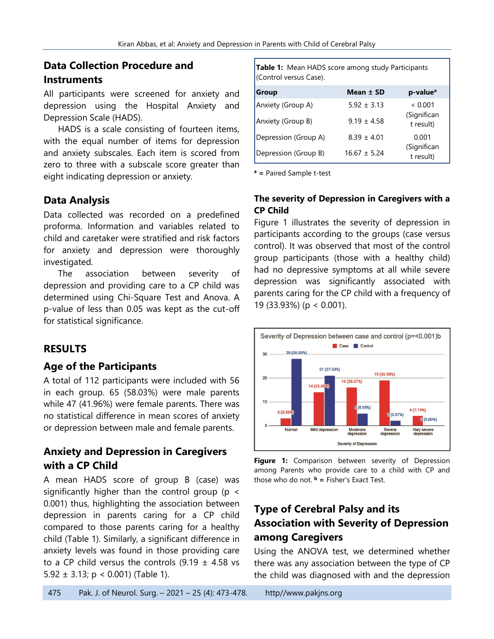# **Data Collection Procedure and Instruments**

All participants were screened for anxiety and depression using the Hospital Anxiety and Depression Scale (HADS).

HADS is a scale consisting of fourteen items, with the equal number of items for depression and anxiety subscales. Each item is scored from zero to three with a subscale score greater than eight indicating depression or anxiety.

### **Data Analysis**

Data collected was recorded on a predefined proforma. Information and variables related to child and caretaker were stratified and risk factors for anxiety and depression were thoroughly investigated.

The association between severity of depression and providing care to a CP child was determined using Chi-Square Test and Anova. A p-value of less than 0.05 was kept as the cut-off for statistical significance.

# **RESULTS**

### **Age of the Participants**

A total of 112 participants were included with 56 in each group. 65 (58.03%) were male parents while 47 (41.96%) were female parents. There was no statistical difference in mean scores of anxiety or depression between male and female parents.

### **Anxiety and Depression in Caregivers with a CP Child**

A mean HADS score of group B (case) was significantly higher than the control group (p < 0.001) thus, highlighting the association between depression in parents caring for a CP child compared to those parents caring for a healthy child (Table 1). Similarly, a significant difference in anxiety levels was found in those providing care to a CP child versus the controls  $(9.19 \pm 4.58 \text{ vs }$ 5.92  $\pm$  3.13; p < 0.001) (Table 1).

**Table 1:** Mean HADS score among study Participants (Control versus Case).

| <b>Group</b>         | Mean ± SD        | p-value <sup>a</sup>     |
|----------------------|------------------|--------------------------|
| Anxiety (Group A)    | $5.92 \pm 3.13$  | ~< 0.001                 |
| Anxiety (Group B)    | $9.19 \pm 4.58$  | (Significan<br>t result) |
| Depression (Group A) | $8.39 \pm 4.01$  | 0.001                    |
| Depression (Group B) | $16.67 \pm 5.24$ | (Significan<br>t result) |

**<sup>a</sup> =** Paired Sample t-test

#### **The severity of Depression in Caregivers with a CP Child**

Figure 1 illustrates the severity of depression in participants according to the groups (case versus control). It was observed that most of the control group participants (those with a healthy child) had no depressive symptoms at all while severe depression was significantly associated with parents caring for the CP child with a frequency of 19 (33.93%) (p < 0.001).





# **Type of Cerebral Palsy and its Association with Severity of Depression among Caregivers**

Using the ANOVA test, we determined whether there was any association between the type of CP the child was diagnosed with and the depression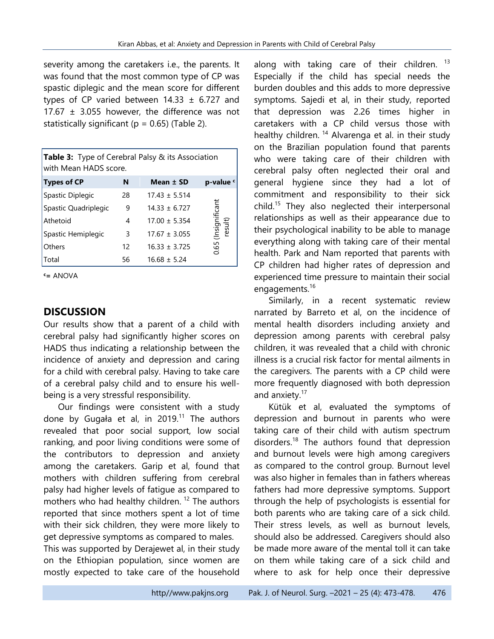severity among the caretakers i.e., the parents. It was found that the most common type of CP was spastic diplegic and the mean score for different types of CP varied between  $14.33 \pm 6.727$  and 17.67  $\pm$  3.055 however, the difference was not statistically significant ( $p = 0.65$ ) (Table 2).

| Table 3: Type of Cerebral Palsy & its Association<br>with Mean HADS score. |    |                   |                           |  |  |
|----------------------------------------------------------------------------|----|-------------------|---------------------------|--|--|
| <b>Types of CP</b>                                                         | N  | Mean ± SD         | p-value c                 |  |  |
| Spastic Diplegic                                                           | 28 | $17.43 \pm 5.514$ |                           |  |  |
| Spastic Quadriplegic                                                       | 9  | $14.33 \pm 6.727$ | (Insignificant<br>result) |  |  |
| Athetoid                                                                   | 4  | $17.00 \pm 5.354$ |                           |  |  |
| Spastic Hemiplegic                                                         | 3  | $17.67 \pm 3.055$ |                           |  |  |
| Others                                                                     | 12 | $16.33 \pm 3.725$ | 0.65                      |  |  |
| Total                                                                      | 56 | $16.68 \pm 5.24$  |                           |  |  |

**<sup>c</sup>=** ANOVA

#### **DISCUSSION**

Our results show that a parent of a child with cerebral palsy had significantly higher scores on HADS thus indicating a relationship between the incidence of anxiety and depression and caring for a child with cerebral palsy. Having to take care of a cerebral palsy child and to ensure his wellbeing is a very stressful responsibility.

Our findings were consistent with a study done by Gugała et al, in 2019.<sup>11</sup> The authors revealed that poor social support, low social ranking, and poor living conditions were some of the contributors to depression and anxiety among the caretakers. Garip et al, found that mothers with children suffering from cerebral palsy had higher levels of fatigue as compared to mothers who had healthy children.<sup>12</sup> The authors reported that since mothers spent a lot of time with their sick children, they were more likely to get depressive symptoms as compared to males.

This was supported by Derajewet al, in their study on the Ethiopian population, since women are mostly expected to take care of the household

along with taking care of their children. <sup>13</sup> Especially if the child has special needs the burden doubles and this adds to more depressive symptoms. Sajedi et al, in their study, reported that depression was 2.26 times higher in caretakers with a CP child versus those with healthy children.<sup>14</sup> Alvarenga et al. in their study on the Brazilian population found that parents who were taking care of their children with cerebral palsy often neglected their oral and general hygiene since they had a lot of commitment and responsibility to their sick child.<sup>15</sup> They also neglected their interpersonal relationships as well as their appearance due to their psychological inability to be able to manage everything along with taking care of their mental health. Park and Nam reported that parents with CP children had higher rates of depression and experienced time pressure to maintain their social engagements.<sup>16</sup>

Similarly, in a recent systematic review narrated by Barreto et al, on the incidence of mental health disorders including anxiety and depression among parents with cerebral palsy children, it was revealed that a child with chronic illness is a crucial risk factor for mental ailments in the caregivers. The parents with a CP child were more frequently diagnosed with both depression and anxiety.<sup>17</sup>

Kütük et al, evaluated the symptoms of depression and burnout in parents who were taking care of their child with autism spectrum disorders.<sup>18</sup> The authors found that depression and burnout levels were high among caregivers as compared to the control group. Burnout level was also higher in females than in fathers whereas fathers had more depressive symptoms. Support through the help of psychologists is essential for both parents who are taking care of a sick child. Their stress levels, as well as burnout levels, should also be addressed. Caregivers should also be made more aware of the mental toll it can take on them while taking care of a sick child and where to ask for help once their depressive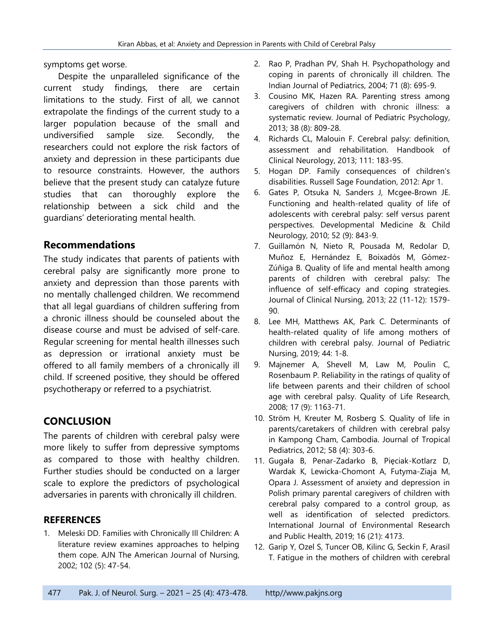symptoms get worse.

Despite the unparalleled significance of the current study findings, there are certain limitations to the study. First of all, we cannot extrapolate the findings of the current study to a larger population because of the small and undiversified sample size. Secondly, the researchers could not explore the risk factors of anxiety and depression in these participants due to resource constraints. However, the authors believe that the present study can catalyze future studies that can thoroughly explore the relationship between a sick child and the guardians' deteriorating mental health.

#### **Recommendations**

The study indicates that parents of patients with cerebral palsy are significantly more prone to anxiety and depression than those parents with no mentally challenged children. We recommend that all legal guardians of children suffering from a chronic illness should be counseled about the disease course and must be advised of self-care. Regular screening for mental health illnesses such as depression or irrational anxiety must be offered to all family members of a chronically ill child. If screened positive, they should be offered psychotherapy or referred to a psychiatrist.

### **CONCLUSION**

The parents of children with cerebral palsy were more likely to suffer from depressive symptoms as compared to those with healthy children. Further studies should be conducted on a larger scale to explore the predictors of psychological adversaries in parents with chronically ill children.

#### **REFERENCES**

1. Meleski DD. Families with Chronically Ill Children: A literature review examines approaches to helping them cope. AJN The American Journal of Nursing, 2002; 102 (5): 47-54.

- 2. Rao P, Pradhan PV, Shah H. Psychopathology and coping in parents of chronically ill children. The Indian Journal of Pediatrics, 2004; 71 (8): 695-9.
- 3. Cousino MK, Hazen RA. Parenting stress among caregivers of children with chronic illness: a systematic review. Journal of Pediatric Psychology, 2013; 38 (8): 809-28.
- 4. Richards CL, Malouin F. Cerebral palsy: definition, assessment and rehabilitation. Handbook of Clinical Neurology, 2013; 111: 183-95.
- 5. Hogan DP. Family consequences of children's disabilities. Russell Sage Foundation, 2012: Apr 1.
- 6. Gates P, Otsuka N, Sanders J, Mcgee‐Brown JE. Functioning and health-related quality of life of adolescents with cerebral palsy: self versus parent perspectives. Developmental Medicine & Child Neurology, 2010; 52 (9): 843-9.
- 7. Guillamón N, Nieto R, Pousada M, Redolar D, Muñoz E, Hernández E, Boixadós M, Gómez-Zúñiga B. Quality of life and mental health among parents of children with cerebral palsy: The influence of self-efficacy and coping strategies. Journal of Clinical Nursing, 2013; 22 (11-12): 1579- 90.
- 8. Lee MH, Matthews AK, Park C. Determinants of health-related quality of life among mothers of children with cerebral palsy. Journal of Pediatric Nursing, 2019; 44: 1-8.
- 9. Majnemer A, Shevell M, Law M, Poulin C, Rosenbaum P. Reliability in the ratings of quality of life between parents and their children of school age with cerebral palsy. Quality of Life Research, 2008; 17 (9): 1163-71.
- 10. Ström H, Kreuter M, Rosberg S. Quality of life in parents/caretakers of children with cerebral palsy in Kampong Cham, Cambodia. Journal of Tropical Pediatrics, 2012; 58 (4): 303-6.
- 11. Gugała B, Penar-Zadarko B, Pięciak-Kotlarz D, Wardak K, Lewicka-Chomont A, Futyma-Ziaja M, Opara J. Assessment of anxiety and depression in Polish primary parental caregivers of children with cerebral palsy compared to a control group, as well as identification of selected predictors. International Journal of Environmental Research and Public Health, 2019; 16 (21): 4173.
- 12. Garip Y, Ozel S, Tuncer OB, Kilinc G, Seckin F, Arasil T. Fatigue in the mothers of children with cerebral